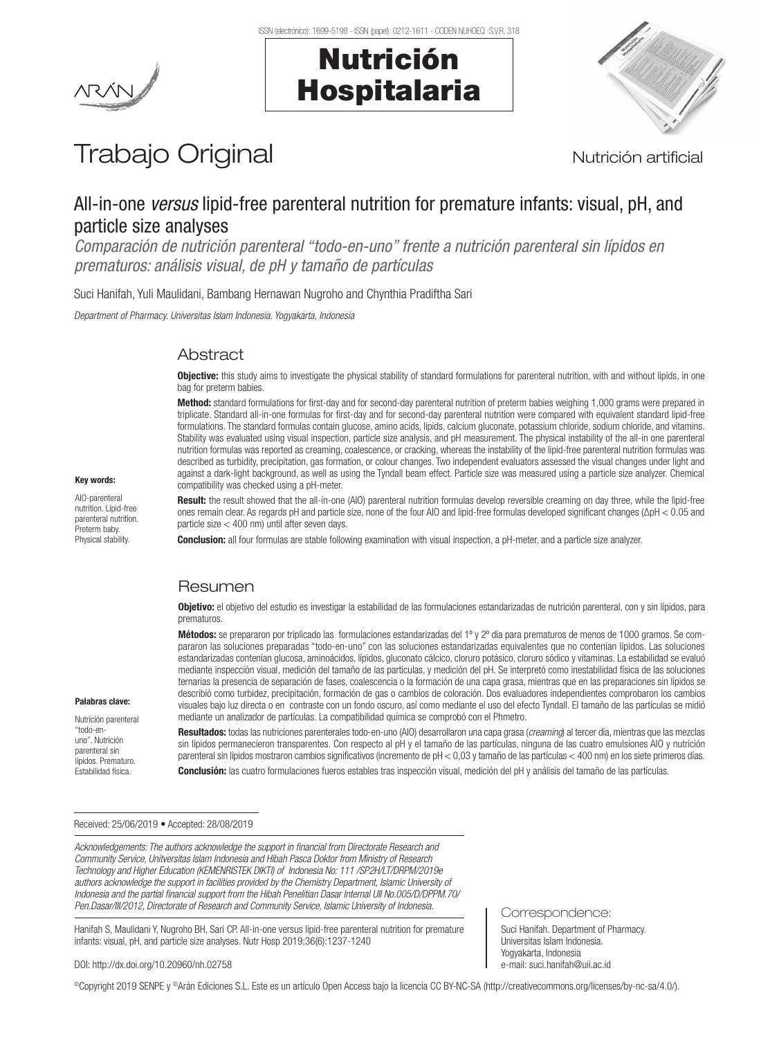





# Trabajo Original **Nutrición artificial**

# All-in-one *versus* lipid-free parenteral nutrition for premature infants: visual, pH, and particle size analyses

*Comparación de nutrición parenteral "todo-en-uno" frente a nutrición parenteral sin lípidos en prematuros: análisis visual, de pH y tamaño de partículas*

Suci Hanifah, Yuli Maulidani, Bambang Hernawan Nugroho and Chynthia Pradiftha Sari

*Department of Pharmacy. Universitas Islam Indonesia. Yogyakarta, Indonesia*

# Abstract

Objective: this study aims to investigate the physical stability of standard formulations for parenteral nutrition, with and without lipids, in one bag for preterm babies.

Method: standard formulations for first-day and for second-day parenteral nutrition of preterm babies weighing 1,000 grams were prepared in triplicate. Standard all-in-one formulas for first-day and for second-day parenteral nutrition were compared with equivalent standard lipid-free formulations. The standard formulas contain glucose, amino acids, lipids, calcium gluconate, potassium chloride, sodium chloride, and vitamins. Stability was evaluated using visual inspection, particle size analysis, and pH measurement. The physical instability of the all-in one parenteral nutrition formulas was reported as creaming, coalescence, or cracking, whereas the instability of the lipid-free parenteral nutrition formulas was described as turbidity, precipitation, gas formation, or colour changes. Two independent evaluators assessed the visual changes under light and against a dark-light background, as well as using the Tyndall beam effect. Particle size was measured using a particle size analyzer. Chemical compatibility was checked using a pH-meter.

Result: the result showed that the all-in-one (AIO) parenteral nutrition formulas develop reversible creaming on day three, while the lipid-free ones remain clear. As regards pH and particle size, none of the four AIO and lipid-free formulas developed significant changes (ΔpH < 0.05 and particle size < 400 nm) until after seven days.

Conclusion: all four formulas are stable following examination with visual inspection, a pH-meter, and a particle size analyzer.

# Resumen

Objetivo: el objetivo del estudio es investigar la estabilidad de las formulaciones estandarizadas de nutrición parenteral, con y sin lípidos, para prematuros.

Métodos: se prepararon por triplicado las formulaciones estandarizadas del 1º y 2º día para prematuros de menos de 1000 gramos. Se compararon las soluciones preparadas "todo-en-uno" con las soluciones estandarizadas equivalentes que no contenían lípidos. Las soluciones estandarizadas contenían glucosa, aminoácidos, lípidos, gluconato cálcico, cloruro potásico, cloruro sódico y vitaminas. La estabilidad se evaluó mediante inspección visual, medición del tamaño de las partículas, y medición del pH. Se interpretó como inestabilidad física de las soluciones ternarias la presencia de separación de fases, coalescencia o la formación de una capa grasa, mientras que en las preparaciones sin lípidos se describió como turbidez, precipitación, formación de gas o cambios de coloración. Dos evaluadores independientes comprobaron los cambios visuales bajo luz directa o en contraste con un fondo oscuro, así como mediante el uso del efecto Tyndall. El tamaño de las partículas se midió mediante un analizador de partículas. La compatibilidad química se comprobó con el Phmetro.

Resultados: todas las nutriciones parenterales todo-en-uno (AIO) desarrollaron una capa grasa (*creaming*) al tercer día, mientras que las mezclas sin lípidos permanecieron transparentes. Con respecto al pH y el tamaño de las partículas, ninguna de las cuatro emulsiones AIO y nutrición parenteral sin lípidos mostraron cambios significativos (incremento de pH < 0,03 y tamaño de las partículas < 400 nm) en los siete primeros días.

Conclusión: las cuatro formulaciones fueros estables tras inspección visual, medición del pH y análisis del tamaño de las partículas.

#### Received: 25/06/2019 • Accepted: 28/08/2019

*Acknowledgements: The authors acknowledge the support in financial from Directorate Research and Community Service, Unitversitas Islam Indonesia and Hibah Pasca Doktor from Ministry of Research Technology and Higher Education (KEMENRISTEK DIKTI) of Indonesia No: 111 /SP2H/LT/DRPM/2019e authors acknowledge the support in facilities provided by the Chemistry Department, Islamic University of Indonesia and the partial financial support from the Hibah Penelitian Dasar Internal UII No.005/D/DPPM.70/ Pen.Dasar/III/2012, Directorate of Research and Community Service, Islamic University of Indonesia.* 

Hanifah S, Maulidani Y, Nugroho BH, Sari CP. All-in-one versus lipid-free parenteral nutrition for premature infants: visual, pH, and particle size analyses. Nutr Hosp 2019;36(6):1237-1240

Correspondence:

Suci Hanifah. Department of Pharmacy. Universitas Islam Indonesia. Yogyakarta, Indonesia e-mail: suci.hanifah@uii.ac.id

DOI: http://dx.doi.org/10.20960/nh.02758

©Copyright 2019 SENPE y ©Arán Ediciones S.L. Este es un artículo Open Access bajo la licencia CC BY-NC-SA (http://creativecommons.org/licenses/by-nc-sa/4.0/).

# Key words:

AIO-parenteral nutrition. Lipid-free parenteral nutrition. Preterm baby. Physical stability.

Palabras clave: Nutrición parenteral "todo-enuno". Nutrición parenteral sin lípidos. Prematuro. Estabilidad física.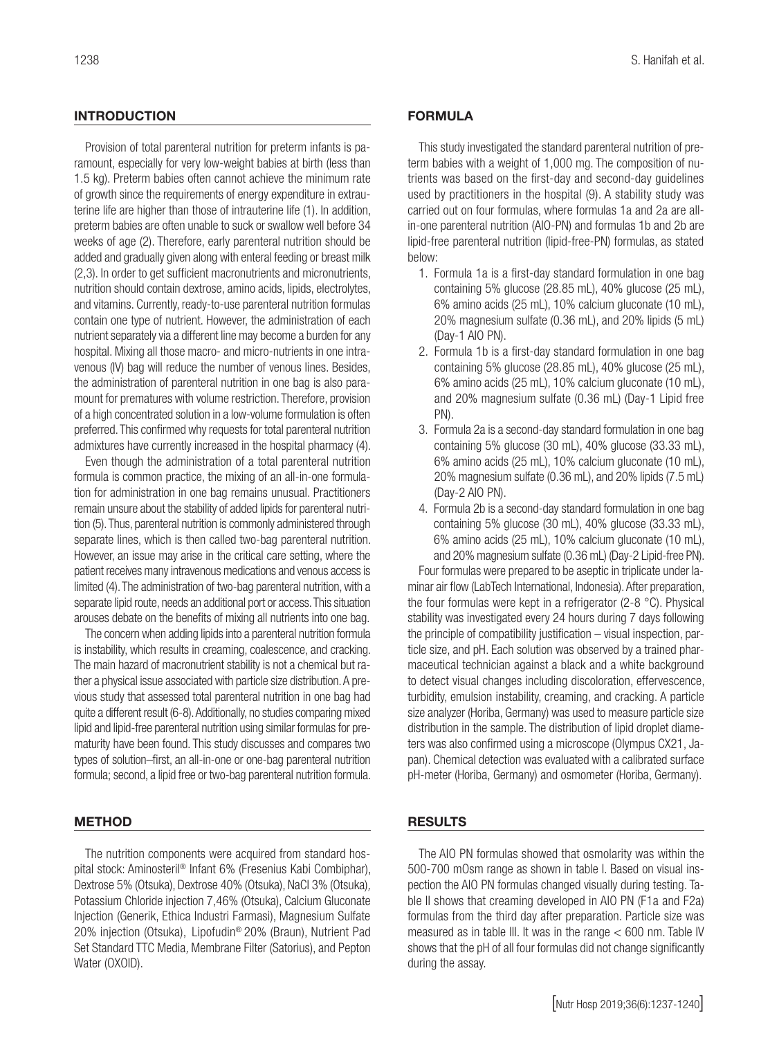# **INTRODUCTION**

Provision of total parenteral nutrition for preterm infants is paramount, especially for very low-weight babies at birth (less than 1.5 kg). Preterm babies often cannot achieve the minimum rate of growth since the requirements of energy expenditure in extrauterine life are higher than those of intrauterine life (1). In addition, preterm babies are often unable to suck or swallow well before 34 weeks of age (2). Therefore, early parenteral nutrition should be added and gradually given along with enteral feeding or breast milk (2,3). In order to get sufficient macronutrients and micronutrients, nutrition should contain dextrose, amino acids, lipids, electrolytes, and vitamins. Currently, ready-to-use parenteral nutrition formulas contain one type of nutrient. However, the administration of each nutrient separately via a different line may become a burden for any hospital. Mixing all those macro- and micro-nutrients in one intravenous (IV) bag will reduce the number of venous lines. Besides, the administration of parenteral nutrition in one bag is also paramount for prematures with volume restriction. Therefore, provision of a high concentrated solution in a low-volume formulation is often preferred. This confirmed why requests for total parenteral nutrition admixtures have currently increased in the hospital pharmacy (4).

Even though the administration of a total parenteral nutrition formula is common practice, the mixing of an all-in-one formulation for administration in one bag remains unusual. Practitioners remain unsure about the stability of added lipids for parenteral nutrition (5). Thus, parenteral nutrition is commonly administered through separate lines, which is then called two-bag parenteral nutrition. However, an issue may arise in the critical care setting, where the patient receives many intravenous medications and venous access is limited (4). The administration of two-bag parenteral nutrition, with a separate lipid route, needs an additional port or access. This situation arouses debate on the benefits of mixing all nutrients into one bag.

The concern when adding lipids into a parenteral nutrition formula is instability, which results in creaming, coalescence, and cracking. The main hazard of macronutrient stability is not a chemical but rather a physical issue associated with particle size distribution. A previous study that assessed total parenteral nutrition in one bag had quite a different result (6-8). Additionally, no studies comparing mixed lipid and lipid-free parenteral nutrition using similar formulas for prematurity have been found. This study discusses and compares two types of solution–first, an all-in-one or one-bag parenteral nutrition formula; second, a lipid free or two-bag parenteral nutrition formula.

# METHOD

The nutrition components were acquired from standard hospital stock: Aminosteril® Infant 6% (Fresenius Kabi Combiphar), Dextrose 5% (Otsuka), Dextrose 40% (Otsuka), NaCl 3% (Otsuka)*,*  Potassium Chloride injection 7,46% (Otsuka), Calcium Gluconate Injection (Generik, Ethica Industri Farmasi), Magnesium Sulfate 20% injection (Otsuka), Lipofudin® 20% (Braun), Nutrient Pad Set Standard TTC Media*,* Membrane Filter (Satorius), and Pepton Water (OXOID).

# FORMULA

This study investigated the standard parenteral nutrition of preterm babies with a weight of 1,000 mg. The composition of nutrients was based on the first-day and second-day guidelines used by practitioners in the hospital (9). A stability study was carried out on four formulas, where formulas 1a and 2a are allin-one parenteral nutrition (AIO-PN) and formulas 1b and 2b are lipid-free parenteral nutrition (lipid-free-PN) formulas, as stated below:

- 1. Formula 1a is a first-day standard formulation in one bag containing 5% glucose (28.85 mL), 40% glucose (25 mL), 6% amino acids (25 mL), 10% calcium gluconate (10 mL), 20% magnesium sulfate (0.36 mL), and 20% lipids (5 mL) (Day-1 AIO PN).
- 2. Formula 1b is a first-day standard formulation in one bag containing 5% glucose (28.85 mL), 40% glucose (25 mL), 6% amino acids (25 mL), 10% calcium gluconate (10 mL), and 20% magnesium sulfate (0.36 mL) (Day-1 Lipid free PN).
- 3. Formula 2a is a second-day standard formulation in one bag containing 5% glucose (30 mL), 40% glucose (33.33 mL), 6% amino acids (25 mL), 10% calcium gluconate (10 mL), 20% magnesium sulfate (0.36 mL), and 20% lipids (7.5 mL) (Day-2 AIO PN).
- 4. Formula 2b is a second-day standard formulation in one bag containing 5% glucose (30 mL), 40% glucose (33.33 mL), 6% amino acids (25 mL), 10% calcium gluconate (10 mL), and 20% magnesium sulfate (0.36 mL) (Day-2 Lipid-free PN).

Four formulas were prepared to be aseptic in triplicate under laminar air flow (LabTech International, Indonesia). After preparation, the four formulas were kept in a refrigerator (2-8 °C). Physical stability was investigated every 24 hours during 7 days following the principle of compatibility justification – visual inspection, particle size, and pH. Each solution was observed by a trained pharmaceutical technician against a black and a white background to detect visual changes including discoloration, effervescence, turbidity, emulsion instability, creaming, and cracking. A particle size analyzer (Horiba, Germany) was used to measure particle size distribution in the sample. The distribution of lipid droplet diameters was also confirmed using a microscope (Olympus CX21, Japan). Chemical detection was evaluated with a calibrated surface pH-meter (Horiba, Germany) and osmometer (Horiba, Germany).

#### RESULTS

The AIO PN formulas showed that osmolarity was within the 500-700 mOsm range as shown in table I. Based on visual inspection the AIO PN formulas changed visually during testing. Table II shows that creaming developed in AIO PN (F1a and F2a) formulas from the third day after preparation. Particle size was measured as in table III. It was in the range < 600 nm. Table IV shows that the pH of all four formulas did not change significantly during the assay.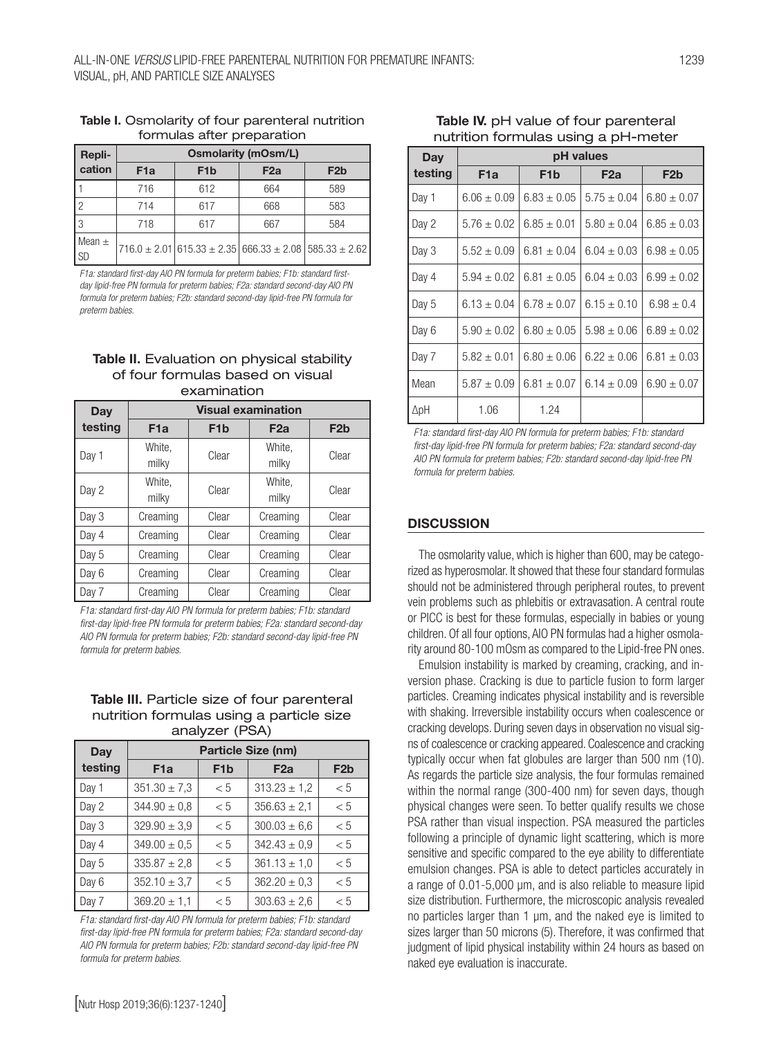| Repli-                  | <b>Osmolarity (mOsm/L)</b> |                  |                                                                           |                  |
|-------------------------|----------------------------|------------------|---------------------------------------------------------------------------|------------------|
| cation                  | F <sub>1</sub> a           | F <sub>1</sub> b | F <sub>2</sub> a                                                          | F <sub>2</sub> b |
|                         | 716                        | 612              | 664                                                                       | 589              |
|                         | 714                        | 617              | 668                                                                       | 583              |
| 3                       | 718                        | 617              | 667                                                                       | 584              |
| Mean $\pm$<br><b>SD</b> |                            |                  | $[716.0 \pm 2.01]$ 615.33 $\pm 2.35]$ 666.33 $\pm 2.08$ 585.33 $\pm 2.62$ |                  |

#### Table I. Osmolarity of four parenteral nutrition formulas after preparation

*F1a: standard first-day AIO PN formula for preterm babies; F1b: standard firstday lipid-free PN formula for preterm babies; F2a: standard second-day AIO PN formula for preterm babies; F2b: standard second-day lipid-free PN formula for preterm babies.* 

#### Table II. Evaluation on physical stability of four formulas based on visual examination

| Day     | <b>Visual examination</b> |                  |                 |                  |  |
|---------|---------------------------|------------------|-----------------|------------------|--|
| testing | F <sub>1a</sub>           | F <sub>1</sub> b | F <sub>2a</sub> | F <sub>2</sub> b |  |
| Day 1   | White,<br>milky           | Clear            | White.<br>milky | Clear            |  |
| Day 2   | White.<br>milky           | Clear            | White.<br>milky | Clear            |  |
| Day 3   | Creaming                  | Clear            | Creaming        | Clear            |  |
| Day 4   | Creaming                  | Clear            | Creaming        | Clear            |  |
| Day 5   | Creaming                  | Clear            | Creaming        | Clear            |  |
| Day 6   | Creaming                  | Clear            | Creaming        | Clear            |  |
| Day 7   | Creaming                  | Clear            | Creaming        | Clear            |  |

*F1a: standard first-day AIO PN formula for preterm babies; F1b: standard first-day lipid-free PN formula for preterm babies; F2a: standard second-day AIO PN formula for preterm babies; F2b: standard second-day lipid-free PN formula for preterm babies.*

#### Table III. Particle size of four parenteral nutrition formulas using a particle size analyzer (PSA)

| Day     | <b>Particle Size (nm)</b> |                  |                  |                  |  |
|---------|---------------------------|------------------|------------------|------------------|--|
| testing | F <sub>1</sub> a          | F <sub>1</sub> b | F <sub>2a</sub>  | F <sub>2</sub> b |  |
| Day 1   | $351.30 \pm 7.3$          | < 5              | $313.23 \pm 1.2$ | < 5              |  |
| Day 2   | $344.90 \pm 0.8$          | < 5              | $356.63 \pm 2.1$ | < 5              |  |
| Day 3   | $329.90 \pm 3.9$          | < 5              | $300.03 \pm 6.6$ | < 5              |  |
| Day 4   | $349.00 \pm 0.5$          | < 5              | $342.43 \pm 0.9$ | < 5              |  |
| Day 5   | $335.87 \pm 2.8$          | < 5              | $361.13 \pm 1.0$ | < 5              |  |
| Day 6   | $352.10 \pm 3.7$          | < 5              | $362.20 \pm 0.3$ | < 5              |  |
| Day 7   | $369.20 \pm 1.1$          | < 5              | $303.63 \pm 2.6$ | < 5              |  |

*F1a: standard first-day AIO PN formula for preterm babies; F1b: standard first-day lipid-free PN formula for preterm babies; F2a: standard second-day AIO PN formula for preterm babies; F2b: standard second-day lipid-free PN formula for preterm babies.*

| Day         | pH values        |                  |                 |                  |  |
|-------------|------------------|------------------|-----------------|------------------|--|
| testing     | F <sub>1</sub> a | F <sub>1</sub> b | F <sub>2a</sub> | F <sub>2</sub> b |  |
| Day 1       | $6.06 \pm 0.09$  | $6.83 \pm 0.05$  | $5.75 \pm 0.04$ | $6.80 \pm 0.07$  |  |
| Day 2       | $5.76 \pm 0.02$  | $6.85 \pm 0.01$  | $5.80 \pm 0.04$ | $6.85 \pm 0.03$  |  |
| Day 3       | $5.52 \pm 0.09$  | $6.81 \pm 0.04$  | $6.04 \pm 0.03$ | $6.98 \pm 0.05$  |  |
| Day 4       | $5.94 \pm 0.02$  | $6.81 \pm 0.05$  | $6.04 \pm 0.03$ | $6.99 \pm 0.02$  |  |
| Day 5       | $6.13 \pm 0.04$  | $6.78 \pm 0.07$  | $6.15 \pm 0.10$ | $6.98 \pm 0.4$   |  |
| Day 6       | $5.90 \pm 0.02$  | $6.80 \pm 0.05$  | $5.98 \pm 0.06$ | $6.89 \pm 0.02$  |  |
| Day 7       | $5.82 \pm 0.01$  | $6.80 \pm 0.06$  | $6.22 \pm 0.06$ | $6.81 \pm 0.03$  |  |
| Mean        | $5.87 \pm 0.09$  | $6.81 \pm 0.07$  | $6.14 \pm 0.09$ | $6.90 \pm 0.07$  |  |
| $\Delta$ pH | 1.06             | 1.24             |                 |                  |  |

*F1a: standard first-day AIO PN formula for preterm babies; F1b: standard first-day lipid-free PN formula for preterm babies; F2a: standard second-day AIO PN formula for preterm babies; F2b: standard second-day lipid-free PN formula for preterm babies.*

# **DISCUSSION**

The osmolarity value, which is higher than 600, may be categorized as hyperosmolar. It showed that these four standard formulas should not be administered through peripheral routes, to prevent vein problems such as phlebitis or extravasation. A central route or PICC is best for these formulas, especially in babies or young children. Of all four options, AIO PN formulas had a higher osmolarity around 80-100 mOsm as compared to the Lipid-free PN ones.

Emulsion instability is marked by creaming, cracking, and inversion phase. Cracking is due to particle fusion to form larger particles. Creaming indicates physical instability and is reversible with shaking. Irreversible instability occurs when coalescence or cracking develops. During seven days in observation no visual signs of coalescence or cracking appeared. Coalescence and cracking typically occur when fat globules are larger than 500 nm (10). As regards the particle size analysis, the four formulas remained within the normal range (300-400 nm) for seven days, though physical changes were seen. To better qualify results we chose PSA rather than visual inspection. PSA measured the particles following a principle of dynamic light scattering, which is more sensitive and specific compared to the eye ability to differentiate emulsion changes. PSA is able to detect particles accurately in a range of 0.01-5,000 µm, and is also reliable to measure lipid size distribution. Furthermore, the microscopic analysis revealed no particles larger than 1 µm, and the naked eye is limited to sizes larger than 50 microns (5). Therefore, it was confirmed that judgment of lipid physical instability within 24 hours as based on naked eye evaluation is inaccurate.